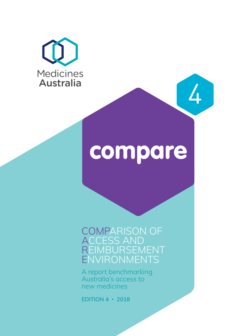



4

COMPARISON OF ACCESS AND REIMBURSEMENT ENVIRONMENTS

A report benchmarking Australia's access to new medicines

**EDITION 4 • 2018**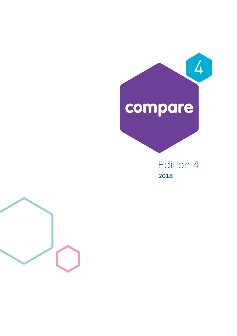# compare 4

Edition 4 **2018** 

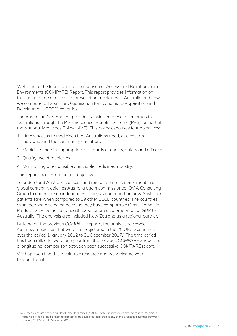Welcome to the fourth annual Comparison of Access and Reimbursement Environments (COMPARE) Report. This report provides information on the current state of access to prescription medicines in Australia and how we compare to 19 similar Organisation for Economic Co-operation and Development (OECD) countries.

The Australian Government provides subsidised prescription drugs to Australians through the Pharmaceutical Benefits Scheme (PBS), as part of the National Medicines Policy (NMP). This policy espouses four objectives:

- 1. Timely access to medicines that Australians need, at a cost an individual and the community can afford
- 2. Medicines meeting appropriate standards of quality, safety and efficacy
- 3. Quality use of medicines
- 4. Maintaining a responsible and viable medicines industry.

This report focuses on the first objective.

To understand Australia's access and reimbursement environment in a global context, Medicines Australia again commissioned IQVIA Consulting Group to undertake an independent analysis and report on how Australian patients fare when compared to 19 other OECD countries. The countries examined were selected because they have comparable Gross Domestic Product (GDP) values and health expenditure as a proportion of GDP to Australia. The analysis also included New Zealand as a regional partner.

Building on the previous *COMPARE* reports, the analysis reviewed 462 new medicines that were first registered in the 20 OECD countries over the period 1 January 2012 to 31 December 2017.<sup>1</sup> The time period has been rolled forward one year from the previous *COMPARE* 3 report for a longitudinal comparison between each successive *COMPARE* report.

We hope you find this a valuable resource and we welcome your feedback on it.

1 New medicines are defined as New Molecular Entities (NMEs). These are innovative pharmaceutical medicines (including biological medicines) that contain a molecule first registered in any of the assessed countries between 1 January 2012 and 31 December 2017.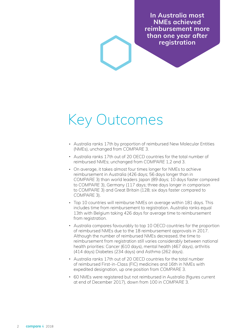**In Australia most NMEs achieved reimbursement more than one year after registration** 

# Key Outcomes

- Australia ranks 17th by proportion of reimbursed New Molecular Entities (NMEs), unchanged from *COMPARE* 3.
- Australia ranks 17th out of 20 OECD countries for the total number of reimbursed NMEs; unchanged from *COMPARE* 1,2 and 3.
- On average, it takes almost four times longer for NMEs to achieve reimbursement in Australia (426 days; 56 days longer than in *COMPARE* 3) than world leaders Japan (89 days; 10 days faster compared to *COMPARE* 3), Germany (117 days; three days longer in comparison to *COMPARE* 3) and Great Britain (128; six days faster compared to *COMPAR*E 3).
- Top 10 countries will reimburse NMEs on average within 181 days. This includes time from reimbursement to registration. Australia ranks equal 13th with Belgium taking 426 days for average time to reimbursement from registration.
- Australia compares favourably to top 10 OECD countries for the proportion of reimbursed NMEs due to the 18 reimbursement approvals in 2017. Although the number of reimbursed NMEs decreased, the time to reimbursement from registration still varies considerably between national health priorities: Cancer (610 days), mental health (467 days), arthritis (414 days) Diabetes (234 days) and Asthma (262 days).
- Australia ranks 17th out of 20 OECD countries for the total number of reimbursed First-in-Class (FIC) medicines and 16th in NMEs with expedited designation, up one position from *COMPARE* 3.
- 60 NMEs were registered but not reimbursed in Australia (figures current at end of December 2017), down from 100 in *COMPARE* 3.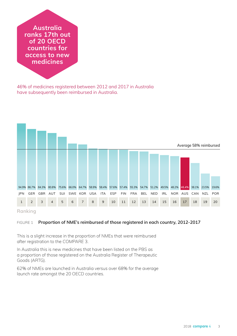**Australia ranks 17th out of 20 OECD countries for access to new medicines** 

46% of medicines registered between 2012 and 2017 in Australia have subsequently been reimbursed in Australia.



#### **Ranking**

#### FIGURE 1 **Proportion of NME's reimbursed of those registered in each country, 2012-2017**

This is a slight increase in the proportion of NMEs that were reimbursed after registration to the *COMPARE* 3.

In Australia this is new medicines that have been listed on the PBS as a proportion of those registered on the Australia Register of Therapeutic Goods (ARTG).

62% of NMEs are launched in Australia versus over 68% for the average launch rate amongst the 20 OECD countries.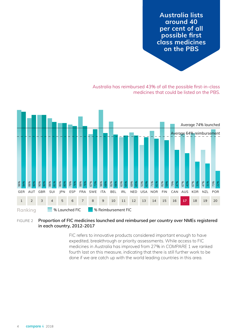**on the PBS Australia lists around 40 per cent of all possible first class medicines** 

Australia has reimbursed 43% of all the possible first-in-class medicines that could be listed on the PBS.



#### FIGURE 2 **Proportion of FIC medicines launched and reimbursed per country over NMEs registered in each country, 2012-2017**

FIC refers to innovative products considered important enough to have expedited, breakthrough or priority assessments. While access to FIC medicines in Australia has improved from 27% in *COMPARE* 1 we ranked fourth last on this measure, indicating that there is still further work to be done if we are catch up with the world leading countries in this area.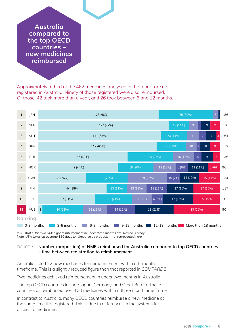**reimbursed Australia compared to the top OECD countries – new medicines** 

Approximately a third of the 462 medicines analysed in the report are not registered in Australia. Ninety of those registered were also reimbursed. Of those, 42 took more than a year, and 26 took between 6 and 12 months.



*In Australia, the two NMEs got reimbursement in under three months are: Nesina, Tivicay. Note: USA takes on average 180 days to reimburse all products – not represented here.* 

#### FIGURE 3 **Number (proportion) of NMEs reimbursed for Australia compared to top OECD countries – time between registration to reimbursement.**

Australia listed 22 new medicines for reimbursement within a 6-month timeframe. This is a slightly reduced figure than that reported in *COMPARE* 3.

Two medicines achieved reimbursement in under two months in Australia.

The top OECD countries include Japan, Germany, and Great Britain. These countries all reimbursed over 100 medicines within a three month time frame.

In contrast to Australia, many OECD countries reimburse a new medicine at the same time it is registered. This is due to differences in the systems for access to medicines.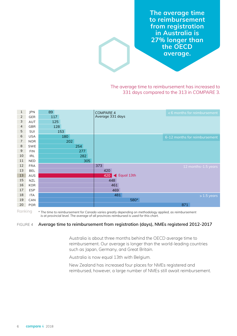**average. The average time to reimbursement from registration in Australia is 27% longer than the OECD** 

The average time to reimbursement has increased to 331 days compared to the 313 in *COMPARE* 3.

| 1              | JPN        | 89  | <b>COMPARE 4</b>                          | <6 months for reimbursement   |
|----------------|------------|-----|-------------------------------------------|-------------------------------|
| $\overline{2}$ | <b>GER</b> | 117 | Average 331 days                          |                               |
| 3              | AUT        | 125 |                                           |                               |
| $\overline{4}$ | <b>GBR</b> | 128 |                                           |                               |
| 5              | SUI        | 153 |                                           |                               |
| $\,$ 6         | <b>USA</b> | 180 |                                           | 6-12 months for reimbursement |
| $\overline{7}$ | <b>NOR</b> | 202 |                                           |                               |
| 8              | <b>SWE</b> | 254 |                                           |                               |
| 9              | <b>FIN</b> | 277 |                                           |                               |
| 10             | <b>IRL</b> | 282 |                                           |                               |
| 11             | <b>NED</b> | 305 |                                           |                               |
| 12             | <b>FRA</b> |     | 373                                       | 12 months-1.5 years           |
| 13             | <b>BEL</b> |     | 420                                       |                               |
| 13             | AUS        |     | Equal 13th<br>420<br>$\blacktriangleleft$ |                               |
| 15             | <b>NZL</b> |     | 448                                       |                               |
| 16             | <b>KOR</b> |     | 461                                       |                               |
| 17             | <b>ESP</b> |     | 469                                       |                               |
| 18             | <b>ITA</b> |     | 481                                       | $>1.5$ years                  |
| 19             | CAN        |     | 580*                                      |                               |
| 20             | POR        |     |                                           | 871                           |

Ranking

*\* The time to reimbursement for Canada varies greatly depending on methodology applied, as reimbursement is at provincial level. The average of all provinces reimbursed is used for this chart.*

#### FIGURE 4 **Average time to reimbursement from registration (days), NMEs registered 2012-2017**

Australia is about three months behind the OECD average time to reimbursement. Our average is longer than the world-leading countries such as Japan, Germany, and Great Britain.

Australia is now equal 13th with Belgium.

New Zealand has increased four places for NMEs registered and reimbursed, however, a large number of NMEs still await reimbursement.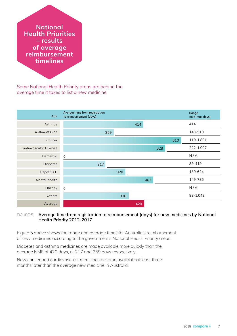**timelines National Health Priorities – results of average reimbursement** 

Some National Health Priority areas are behind the average time it takes to list a new medicine.



#### FIGURE 5 **Average time from registration to reimbursement (days) for new medicines by National Health Priority 2012-2017**

Figure 5 above shows the range and average times for Australia's reimbursement of new medicines according to the government's National Health Priority areas.

Diabetes and asthma medicines are made available more quickly than the average NME of 420 days, at 217 and 259 days respectively.

New cancer and cardiovascular medicines become available at least three months later than the average new medicine in Australia.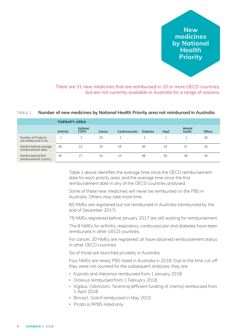**Priority New medicines by National Health** 

There are 31 new medicines that are reimbursed in 10 or more OECD countries, but are not currently available in Australia for a range of reasons.

#### TABLE 1 **Number of new medicines by National Health Priority area not reimbursed in Australia**

|                                              |                  | THERAPY AREA           |        |                |                 |      |                  |        |  |  |
|----------------------------------------------|------------------|------------------------|--------|----------------|-----------------|------|------------------|--------|--|--|
|                                              | <b>Arthritis</b> | Asthma/<br><b>COPD</b> | Cancer | Cardiovascular | <b>Diabetes</b> | HepC | Mental<br>health | Others |  |  |
| Number of Products<br>not reimbursed in Au   |                  |                        | 20     |                |                 |      |                  | 30     |  |  |
| Months behind average<br>reimbursement date  | 26               | 22                     | 20     | 16             | 36              | 19   | 37               | 26     |  |  |
| Months behind first<br>reimbursement country | 35               | 27                     | 32     | 23             | 48              | 29   | 38               | 34     |  |  |

Table 1 above identifies the average time since the OECD reimbursement date for each priority area, and the average time since the first reimbursement date in any of the OECD countries analysed.

Some of these new medicines will never be reimbursed on the PBS in Australia. Others may take more time.

60 NMEs are registered but not reimbursed in Australia (reimbursed by the end of December 2017),

79 NMEs registered before January 2017 are still waiting for reimbursement.

The 8 NMEs for arthritis, respiratory, cardiovascular and diabetes have been reimbursed in other OECD countries.

For cancer, 20 NMEs are registered, all have obtained reimbursement status in other OECD countries.

Six of those are launched privately in Australia.

Four NMEs are newly PBS listed in Australia in 2018. Due to the time cut-off they were not counted for the subsequent analyses; they are:

- Kyprolis and Alecensa reimbursed from 1 January 2018
- Ocrevus reimbursed from 1 February 2018
- Xigduo, Odomzom, Tecentriq (efficient funding of chemo) reimbursed from 1 April 2018
- Briviact, Giotrif reimbursed in May 2015
- Picato is RPBS listed only.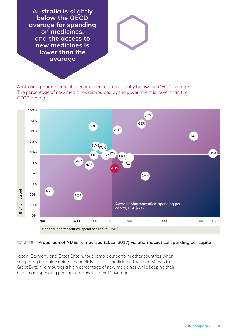**avarage Australia is slightly below the OECD average for spending on medicines, and the access to new medicines is lower than the**

Australia's pharmaceutical spending per capita is slightly below the OECD average. The percentage of new medicines reimbursed by the government is lower than the OECD average.



#### FIGURE 6 **Proportion of NMEs reimbursed (2012-2017) vs. pharmaceutical spending per capita**

Japan, Germany and Great Britain, for example outperform other countries when comparing the value gained by publicly funding medicines. The chart shows that Great Britain reimburses a high percentage of new medicines while keeping their healthcare spending per capita below the OECD average.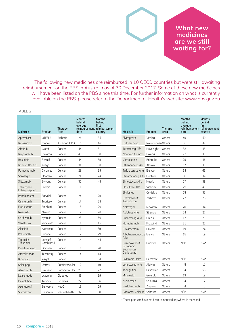**waiting for? What new medicines are we still** 

The following new medicines are reimbursed in 10 OECD countries but were still awaiting reimbursement on the PBS in Australia as of 30 December 2017. Some of these new medicines will have been listed on the PBS since this time. For further information on what is currently available on the PBS, please refer to the Department of Health's website: [www.pbs.gov.au](http://www.pbs.gov.au)

#### TABLE 2

| Molecule                   | Product               | Therapy<br>Area | Months<br>behind<br>average<br>date | <b>Months</b><br>behind<br>first<br>reimbursement reimbursement<br>country | Molecule                          | Product             | Therapy<br>Area | Months<br>behind<br>average<br>reimbursement reimbursement<br>date | <b>Months</b><br>behind<br>first<br>country |
|----------------------------|-----------------------|-----------------|-------------------------------------|----------------------------------------------------------------------------|-----------------------------------|---------------------|-----------------|--------------------------------------------------------------------|---------------------------------------------|
| Apremilast                 | <b>OTEZLA</b>         | Arthritis       | 26                                  | 35                                                                         | Elvitegravir                      | Vitekta             | Others          | 49                                                                 | 50                                          |
| Reslizumab                 | Cingair               | Asthma/COPD     | 11                                  | 16                                                                         | Catridecacog                      | Novothirteen Others |                 | 36                                                                 | 42                                          |
| Afatinib                   | Giotrif               | Cancer          | 44                                  | 51                                                                         | Turoctocog Alfa                   | Novoeight           | Others          | 38                                                                 | 48                                          |
| Regorafenib                | Stivarga              | Cancer          | 43                                  | 58                                                                         | Nonacog Gamma                     | Rixubis             | Others          | 22                                                                 | 39                                          |
| <b>Bosutinib</b>           | <b>Bosulif</b>        | Cancer          | 44                                  | 59                                                                         | Vortioxetine                      | <b>Brintellix</b>   | Others          | 29                                                                 | 46                                          |
| Radium Ra-223              | Xofigo                | Cancer          | 34                                  | 50                                                                         | Eftrenonacog Alfa Alprolix        |                     | Others          | 17                                                                 | 39                                          |
| Ramucirumab                | Cyramza               | Cancer          | 29                                  | 39                                                                         | Taliglucerase Alfa Elelyso        |                     | Others          | 63                                                                 | 63                                          |
| Sonidegib                  | Odomzo                | Cancer          | 24                                  | 24                                                                         | Efmoroctocog Alfa Eloctate        |                     | Others          | 18                                                                 | 34                                          |
| Siltuximab                 | Sylvant               | Cancer          | 30                                  | 43                                                                         | Simoctocog Alfa                   | Nuwig               | Others          | 27                                                                 | 38                                          |
| Talimogene                 | Imlygic               | Cancer          | $\mathbf{1}$                        | $\mathbf{1}$                                                               | Elosulfase Alfa                   | Vimizim             | Others          | 29                                                                 | 43                                          |
| Laherparepvec              |                       |                 |                                     |                                                                            | Eliglustat                        | Cerdelga            | Others          | 18                                                                 | 35                                          |
| Panobinostat               | Farydak               | Cancer          | 24                                  | 29                                                                         | Ceftolozane#                      | Zerbaxa             | Others          | 22                                                                 | 26                                          |
| Osimertinib                | Tagrisso              | Cancer          | 17                                  | 23                                                                         | Tazobactam                        |                     |                 |                                                                    |                                             |
| Elotuzumab                 | Empliciti             | Cancer          | 15                                  | 20                                                                         | Naloxegol                         | Movantik            | Others          | 20                                                                 | 34                                          |
| Ixazomib                   | Ninlaro               | Cancer          | 12                                  | 20                                                                         | Asfotase Alfa                     | Strensig            | Others          | 24                                                                 | 27                                          |
| Carfilzomib                | Kyprolis              | Cancer          | 23                                  | 60                                                                         | Susoctocog Alfa                   | Obizur              | Others          | 17                                                                 | 21                                          |
| Venetoclax                 | Venclexta             | Cancer          | 11                                  | 15                                                                         | Idarucizumab                      | Praxbind            | Others          | 21                                                                 | 25                                          |
| Alectinib                  | Alecensa              | Cancer          | 11                                  | 39                                                                         | <b>Brivaracetam</b>               | <b>Briviact</b>     | Others          | 19                                                                 | 24                                          |
| Palbociclib                | <b>Ibrance</b>        | Cancer          | 12                                  | 29                                                                         | Albutrepenonacog Idelvion<br>Alfa |                     | Others          | 15                                                                 | 19                                          |
| Tipiracil#<br>Trifluridine | Lonsurf<br>Combinat.T | Cancer          | 14                                  | 44                                                                         | Bazedoxifene#                     | Duavive             | Others          | $N/A^*$                                                            | $N/A^*$                                     |
| Daratumumab                | Darzalex              | Cancer          | 14                                  | 20                                                                         | Estrogenic<br>Substances,         |                     |                 |                                                                    |                                             |
| Atezolizumab               | Tecentrig             | Cancer          | 4                                   | 14                                                                         | Conjugated                        |                     |                 |                                                                    |                                             |
| Ribociclib                 | Kisgali               | Cancer          | 3                                   | $\overline{4}$                                                             | Follitropin Delta                 | Rekovelle           | Others          | $N/A^*$                                                            | $N/A^*$                                     |
| Selexipag                  | Uptravi               | Cardiovascular  | 12                                  | 19                                                                         | Lonoctocog Alfa                   | Afstyla             | Others          | 5                                                                  | 11                                          |
| Alirocumab                 | Praluent              | Cardiovascular  | 20                                  | 27                                                                         | Teduglutide                       | Revestive           | Others          | 34                                                                 | 55                                          |
| Lixisenatide               | Lyxumia               | <b>Diabetes</b> | 45                                  | 59                                                                         | Migalastat                        | Galafold            | Others          | 13                                                                 | 19                                          |
| Dulaglutide                | Trulicity             | <b>Diabetes</b> | 27                                  | 36                                                                         | Nusinersen                        | Spinraza            | Others          | $\overline{4}$                                                     | $\overline{7}$                              |
| Asunaprevir                | Sunvepra              | HepC            | 19                                  | 29                                                                         | Bezlotoxumab                      | Zinplava            | Others          | $\overline{4}$                                                     | 10                                          |
| Suvorexant                 | Belsomra              | Mental health   | 37                                  | 38                                                                         | Patiromer Calcium Veltassa        |                     | Others          | $N/A^*$                                                            | $N/A^*$                                     |
|                            |                       |                 |                                     |                                                                            |                                   |                     |                 |                                                                    |                                             |

\* These products have not been reimbursed anywhere in the world.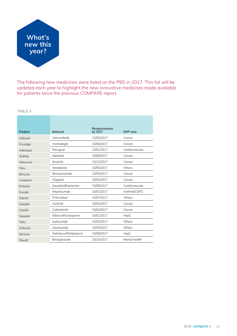

The following new medicines were listed on the PBS in 2017. This list will be updated each year to highlight the new innovative medicines made available for patients since the previous *COMPARE* report.

#### TABLE 3

|                 |                        | Reimbursement |                |
|-----------------|------------------------|---------------|----------------|
| Product         | Molecule               | by 2017       | NHP area       |
| <b>Zelboraf</b> | Vemurafenib            | 15/04/2017    | Cancer         |
| Erivedge        | Vismodegib             | 15/04/2017    | Cancer         |
| Adempas         | Riociguat              | 15/01/2017    | Cardiovascular |
| Zydelig         | Idelalisib             | 15/09/2017    | Cancer         |
| Imbruvica       | Ibrutinib              | 15/12/2017    | Cancer         |
| Ofev            | Nintedanib             | 15/05/2017    | Others         |
| Blincyto        | Blinatumomab           | 15/05/2017    | Cancer         |
| Lynparza        | Olaparib               | 15/02/2017    | Cancer         |
| Entresto        | Sacubitril#Valsartan   | 15/06/2017    | Cardiovascular |
| Nucala          | Mepolizumab            | 15/01/2017    | Asthma/COPD    |
| Esbriet         | Pirfenidone            | 15/07/2017    | Others         |
| Zykadia         | Ceritinib              | 15/02/2017    | Cancer         |
| Cotellic        | Cobimetinib            | 15/04/2017    | Cancer         |
| Zepatier        | Elbasvir#Grazoprevir   | 15/01/2017    | HepC           |
| Taltz           | Ixekizumab             | 15/02/2017    | Others         |
| Zinbryta        | Daclizumab             | 15/05/2017    | Others         |
| Epclusa         | Sofosbuvir#Velpatasvir | 15/08/2017    | HepC           |
| Rexulti         | Brexpiprazole          | 15/10/2017    | Mental health  |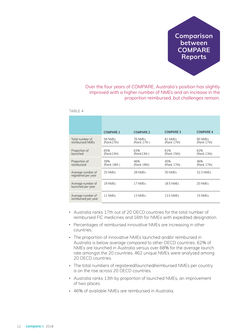**Reports Comparison between COMPARE** 

Over the four years of *COMPARE*, Australia's position has slightly improved with a higher number of NMEs and an increase in the proportion reimbursed, but challenges remain.

|                                          | <b>COMPARE 1</b>      | <b>COMPARE 2</b>       | <b>COMPARE 3</b>       | <b>COMPARE 4</b>       |
|------------------------------------------|-----------------------|------------------------|------------------------|------------------------|
| Total number of<br>reimbursed NMEs       | 59 NMEs<br>(Rank17th) | 76 NMEs<br>(Rank 17th) | 81 NMEs<br>(Rank 17th) | 90 NMEs<br>(Rank 17th) |
| Proportion of<br>launched                | 65%<br>(Rank13th)     | 63%<br>(Rank13th)      | 61%<br>(Rank 15th)     | 62%<br>(Rank 13th)     |
| Proportion of<br>reimbursed              | 39%<br>(Rank 18th)    | 46%<br>(Rank 18th)     | 45%<br>(Rank 17th)     | 46%<br>(Rank 17th)     |
| Average number of<br>registered per year | 25 NMEs               | 28 NMEs                | 30 NMEs                | 32.3 NMEs              |
| Average number of<br>launched per year   | 19 NMEs               | 17 NMEs                | 18.5 NMEs              | 20 NMEs                |
|                                          |                       |                        |                        |                        |

 $T\Delta R$   $F$  4

- Australia ranks 17th out of 20 OECD countries for the total number of reimbursed FIC medicines and 16th for NMEs with expedited designation.
- Percentages of reimbursed innovative NMEs are increasing in other countries.
- The proportion of innovative NMEs launched and/or reimbursed in Australia is below average compared to other OECD countries. 62% of NMEs are launched in Australia versus over 68% for the average launch rate amongst the 20 countries. 462 unique NMEs were analysed among 20 OECD countries.
- The total numbers of registered/launched/reimbursed NMEs per country is on the rise across 20 OECD countries.
- Australia ranks 13th by proportion of launched NMEs, an improvement of two places.
- 46% of available NMEs are reimbursed in Australia.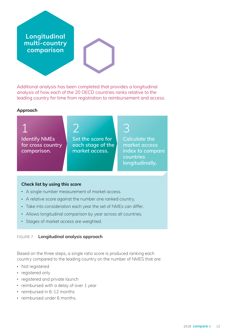**comparison Longitudinal multi-country**

Additional analysis has been completed that provides a longitudinal analysis of how each of the 20 OECD countries ranks relative to the leading country for time from registration to reimbursement and access.

#### **Approach**

1 **Identify NMEs for cross country comparison.** 

2 **Set the score for each stage of the market access.** 

3 **Calculate the market access index to compare countries longitudinally.** 

#### **Check list by using this score**

- A single number measurement of market access.
- A relative score against the number one ranked country.
- Take into consideration each year the set of NMEs can differ.
- Allows longitudinal comparison by year across all countries.
- Stages of market access are weighted.

#### FIGURE 7 **Longitudinal analysis approach**

Based on the three steps, a single ratio score is produced ranking each country compared to the leading country on the number of NMES that are:

- Not registered
- registered only
- registered and private launch
- reimbursed with a delay of over 1 year
- reimbursed in 6-12 months
- reimbursed under 6 months.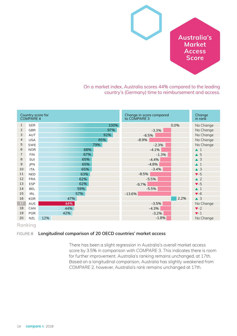

On a market index, Australia scores 44% compared to the leading country's (Germany) time to reimbursement and access.

|                | Country score for<br>COMPARE 4 |     |      | Change in score compared<br>to COMPARE 3 |         |      | Change<br>in rank       |
|----------------|--------------------------------|-----|------|------------------------------------------|---------|------|-------------------------|
| $\mathbf{1}$   | <b>GER</b>                     |     | 100% |                                          |         | 0.0% | No Change               |
| 2              | <b>GBR</b>                     |     | 97%  |                                          | $-3.3%$ |      | No Change               |
| 3              | AUT                            |     | 92%  | $-6.5%$                                  |         |      | No Change               |
| $\overline{4}$ | <b>USA</b>                     | 85% |      | $-8.9%$                                  |         |      | No Change               |
| 5              | SWE                            | 79% |      |                                          | $-2.3%$ |      | No Change               |
| 6              | <b>NOR</b>                     | 68% |      |                                          | $-4.1%$ |      | $\blacktriangle$ 1      |
| $\overline{7}$ | <b>FIN</b>                     | 67% |      |                                          | $-1.3%$ |      | $\triangle$ 5           |
| 8              | SUI                            | 65% |      |                                          | $-4.4%$ |      | $\triangle$ 3           |
| $\overline{9}$ | JPN                            | 65% |      |                                          | $-4.8%$ |      | $\blacktriangle$ 1      |
| 10             | <b>ITA</b>                     | 65% |      |                                          | $-3.4%$ |      | $\triangle$ 3           |
| 11             | <b>NED</b>                     | 63% |      | $-8.5%$                                  |         |      | $\blacktriangledown -5$ |
| 12             | <b>FRA</b>                     | 62% |      |                                          | $-5.5%$ |      | $\triangle$ 2           |
| 13             | <b>ESP</b>                     | 62% |      | $-9.7%$                                  |         |      | $\blacktriangledown -5$ |
| 14             | <b>BEL</b>                     | 59% |      |                                          | $-5.5%$ |      | $\blacktriangle$ 1      |
| 15             | <b>IRL</b>                     | 57% |      | $-13.6%$                                 |         |      | $\blacktriangledown$ -6 |
| 16             | <b>KOR</b>                     | 47% |      |                                          |         | 2.2% | $\triangle$ 3           |
| $17\,$         | AUS                            | 44% |      |                                          | $-3.5%$ |      | No Change               |
| 18             | CAN                            | 44% |      |                                          | $-4.3%$ |      | $\blacktriangledown$ -2 |
| 19             | <b>POR</b>                     | 42% |      |                                          | $-3.2%$ |      | $\blacktriangledown$ 1  |
| 20             | <b>NZL</b>                     | 12% |      |                                          | $-1.8%$ |      | No Change               |

**Ranking** 

#### FIGURE 8 **Longitudinal comparison of 20 OECD countries' market access**

There has been a slight regression in Australia's overall market access score by 3.5% in comparison with *COMPARE* 3. This indicates there is room for further improvement. Australia's ranking remains unchanged, at 17th. Based on a longitudinal comparison, Australia has slightly weakened from *COMPARE* 2, however, Australia's rank remains unchanged at 17th.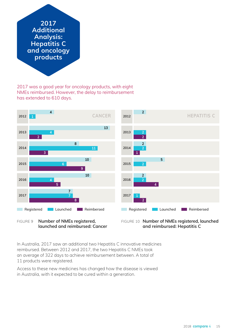**Additional Analysis: Hepatitis C and oncology products** 

2017 was a good year for oncology products, with eight NMEs reimbursed. However, the delay to reimbursement has extended to 610 days.



**launched and reimbursed: Cancer** 

**and reimbursed: Hepatitis C** 

In Australia, 2017 saw an additional two Hepatitis C innovative medicines reimbursed. Between 2012 and 2017, the two Hepatitis C NMEs took an average of 322 days to achieve reimbursement between. A total of 11 products were registered.

Access to these new medicines has changed how the disease is viewed in Australia, with it expected to be cured within a generation.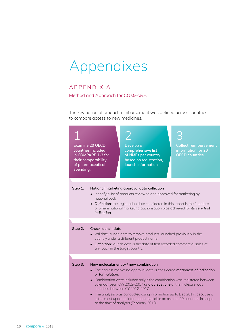# Appendixes

### APPENDIX A

Method and Approach for *COMPARE.* 

The key notion of product reimbursement was defined across countries to compare access to new medicines.

| <b>Examine 20 OECD</b><br>countries included<br>in COMPARE 1-3 for<br>their comparability<br>of pharmaceutical<br>spending. |                                                                                                                                                                                                                                                                                                                         | Develop a<br>comprehensive list<br>of NMEs per country<br>based on registration,<br>launch information.                                                                                                                                                                                                                                                                                                                                                                                                             | <b>Collect reimbursement</b><br>information for 20<br><b>OECD</b> countries. |  |  |  |  |
|-----------------------------------------------------------------------------------------------------------------------------|-------------------------------------------------------------------------------------------------------------------------------------------------------------------------------------------------------------------------------------------------------------------------------------------------------------------------|---------------------------------------------------------------------------------------------------------------------------------------------------------------------------------------------------------------------------------------------------------------------------------------------------------------------------------------------------------------------------------------------------------------------------------------------------------------------------------------------------------------------|------------------------------------------------------------------------------|--|--|--|--|
|                                                                                                                             |                                                                                                                                                                                                                                                                                                                         |                                                                                                                                                                                                                                                                                                                                                                                                                                                                                                                     |                                                                              |  |  |  |  |
| Step 1.                                                                                                                     | National marketing approval data collection<br>Identify a list of products reviewed and approved for marketing by<br>national body.<br><b>Definition:</b> the registration date considered in this report is the first date<br>of where national marketing authorisation was achieved for its very first<br>indication. |                                                                                                                                                                                                                                                                                                                                                                                                                                                                                                                     |                                                                              |  |  |  |  |
|                                                                                                                             |                                                                                                                                                                                                                                                                                                                         |                                                                                                                                                                                                                                                                                                                                                                                                                                                                                                                     |                                                                              |  |  |  |  |
| Step 2.                                                                                                                     | <b>Check launch date</b><br>• Validate launch date to remove products launched previously in the<br>country under a different product name.<br>Definition: launch date is the date of first recorded commercial sales of<br>any pack in the target country.                                                             |                                                                                                                                                                                                                                                                                                                                                                                                                                                                                                                     |                                                                              |  |  |  |  |
|                                                                                                                             |                                                                                                                                                                                                                                                                                                                         |                                                                                                                                                                                                                                                                                                                                                                                                                                                                                                                     |                                                                              |  |  |  |  |
| Step 3.                                                                                                                     | or formulation.                                                                                                                                                                                                                                                                                                         | New molecular entity / new combination<br>• The earliest marketing approval date is considered regardless of indication<br>• Combination were included only if the combination was registered between<br>calendar year (CY) 2012-2017 and at least one of the molecule was<br>launched between CY 2012-2017.<br>• The analysis was conducted using information up to Dec 2017, because it<br>is the most updated information available across the 20 countries in scope<br>at the time of analysis (February 2018). |                                                                              |  |  |  |  |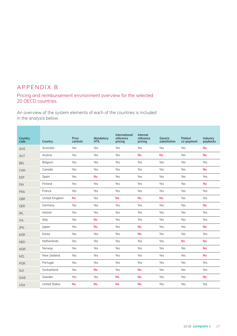### APPENDIX B

#### Pricing and reimbursement environment overview for the selected 20 OECD countries.

An overview of the system elements of each of the countries is included in the analysis below.

| Country<br>code | Country              | Price<br>controls | Mandatory<br><b>HTA</b> | International<br>reference<br>pricing | Internal<br>reference<br>pricing | Generic<br>substitution | Patient<br>co-payment | Industry<br>paybacks |
|-----------------|----------------------|-------------------|-------------------------|---------------------------------------|----------------------------------|-------------------------|-----------------------|----------------------|
| <b>AUS</b>      | Australia            | Yes               | Yes                     | Yes                                   | Yes                              | Yes                     | Yes                   | <b>No</b>            |
| AUT             | Austria              | Yes               | Yes                     | Yes                                   | <b>No</b>                        | <b>No</b>               | Yes                   | <b>No</b>            |
| <b>BEL</b>      | Belgium              | Yes               | Yes                     | Yes                                   | Yes                              | Yes                     | Yes                   | Yes                  |
| CAN             | Canada               | Yes               | Yes                     | Yes                                   | Yes                              | Yes                     | Yes                   | <b>No</b>            |
| <b>ESP</b>      | Spain                | Yes               | <b>No</b>               | Yes                                   | Yes                              | Yes                     | Yes                   | Yes                  |
| <b>FIN</b>      | Finland              | Yes               | Yes                     | Yes                                   | Yes                              | Yes                     | Yes                   | <b>No</b>            |
| <b>FRA</b>      | France               | Yes               | Yes                     | Yes                                   | Yes                              | Yes                     | Yes                   | Yes                  |
| <b>GBR</b>      | United Kingdom       | <b>No</b>         | Yes                     | <b>No</b>                             | <b>No</b>                        | <b>No</b>               | Yes                   | Yes                  |
| GER             | Germany              | Yes               | Yes                     | Yes                                   | Yes                              | Yes                     | Yes                   | <b>No</b>            |
| <b>IRL</b>      | Ireland              | Yes               | Yes                     | Yes                                   | Yes                              | Yes                     | Yes                   | Yes                  |
| <b>ITA</b>      | Italy                | Yes               | <b>No</b>               | Yes                                   | Yes                              | Yes                     | Yes                   | Yes                  |
| JPN             | <i>lapan</i>         | Yes               | <b>No</b>               | Yes                                   | <b>No</b>                        | Yes                     | Yes                   | <b>No</b>            |
| <b>KOR</b>      | Korea                | Yes               | Yes                     | Yes                                   | <b>No</b>                        | Yes                     | Yes                   | Yes                  |
| <b>NED</b>      | Netherlands          | Yes               | Yes                     | Yes                                   | Yes                              | Yes                     | <b>No</b>             | <b>No</b>            |
| <b>NOR</b>      | Norway               | Yes               | Yes                     | Yes                                   | Yes                              | Yes                     | Yes                   | <b>No</b>            |
| <b>NZL</b>      | New Zealand          | Yes               | Yes                     | Yes                                   | Yes                              | Yes                     | Yes                   | <b>No</b>            |
| <b>POR</b>      | Portugal             | Yes               | Yes                     | Yes                                   | Yes                              | Yes                     | Yes                   | Yes                  |
| <b>SUI</b>      | Switzerland          | Yes               | <b>No</b>               | Yes                                   | <b>No</b>                        | Yes                     | Yes                   | Yes                  |
| <b>SWE</b>      | Sweden               | Yes               | Yes                     | <b>No</b>                             | <b>No</b>                        | Yes                     | Yes                   | <b>No</b>            |
| <b>USA</b>      | <b>United States</b> | <b>No</b>         | <b>No</b>               | <b>No</b>                             | <b>No</b>                        | Yes                     | Yes                   | Yes                  |